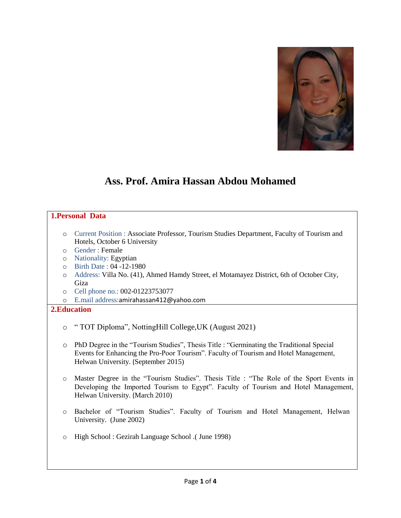

# **Ass. Prof. Amira Hassan Abdou Mohamed**

## **1.Personal Data**

- o Current Position : Associate Professor, Tourism Studies Department, Faculty of Tourism and Hotels, October 6 University
- o Gender : Female
- o Nationality: Egyptian
- o Birth Date : 04 -12-1980
- o Address: Villa No. (41), Ahmed Hamdy Street, el Motamayez District, 6th of October City, Giza
- o Cell phone no.: 002-01223753077
- o E.mail address:[amirahassan412@yahoo.com](mailto:amirahassan412@yahoo.com)

## **2.Education**

- o " TOT Diploma", NottingHill College,UK (August 2021)
- o PhD Degree in the "Tourism Studies", Thesis Title : "Germinating the Traditional Special Events for Enhancing the Pro-Poor Tourism". Faculty of Tourism and Hotel Management, Helwan University. (September 2015)
- o Master Degree in the "Tourism Studies". Thesis Title : "The Role of the Sport Events in Developing the Imported Tourism to Egypt". Faculty of Tourism and Hotel Management, Helwan University. (March 2010)
- o Bachelor of "Tourism Studies". Faculty of Tourism and Hotel Management, Helwan University. (June 2002)
- o High School : Gezirah Language School .( June 1998)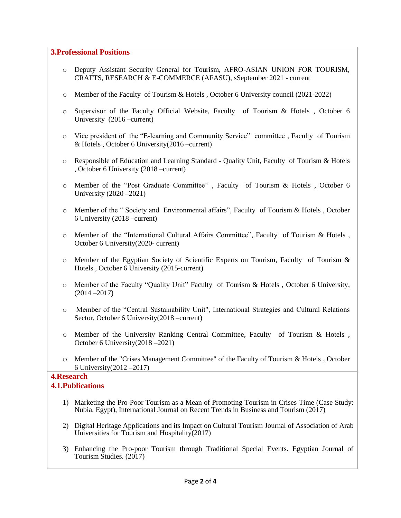## **3.Professional Positions**

- o Deputy Assistant Security General for Tourism, AFRO-ASIAN UNION FOR TOURISM, CRAFTS, RESEARCH & E-COMMERCE (AFASU), sSeptember 2021 - current
- o Member of the Faculty of Tourism & Hotels , October 6 University council (2021-2022)
- o Supervisor of the Faculty Official Website, Faculty of Tourism & Hotels , October 6 University (2016 –current)
- o Vice president of the "E-learning and Community Service" committee , Faculty of Tourism & Hotels , October 6 University(2016 –current)
- o Responsible of Education and Learning Standard Quality Unit, Faculty of Tourism & Hotels , October 6 University (2018 –current)
- o Member of the "Post Graduate Committee" , Faculty of Tourism & Hotels , October 6 University (2020 –2021)
- o Member of the " Society and Environmental affairs", Faculty of Tourism & Hotels , October 6 University (2018 –current)
- o Member of the "International Cultural Affairs Committee", Faculty of Tourism & Hotels , October 6 University(2020- current)
- $\circ$  Member of the Egyptian Society of Scientific Experts on Tourism, Faculty of Tourism & Hotels , October 6 University (2015-current)
- o Member of the Faculty "Quality Unit" Faculty of Tourism & Hotels , October 6 University, (2014 –2017)
- o Member of the "Central Sustainability Unit", International Strategies and Cultural Relations Sector, October 6 University(2018 –current)
- o Member of the University Ranking Central Committee, Faculty of Tourism & Hotels , October 6 University(2018 –2021)
- o Member of the "Crises Management Committee" of the Faculty of Tourism & Hotels , October 6 University(2012 –2017)

#### **4.Research 4.1.Publications**

- 1) Marketing the Pro-Poor Tourism as a Mean of Promoting Tourism in Crises Time (Case Study: Nubia, Egypt), International Journal on Recent Trends in Business and Tourism (2017)
- 2) Digital Heritage Applications and its Impact on Cultural Tourism Journal of Association of Arab Universities for Tourism and Hospitality(2017)
- 3) Enhancing the Pro-poor Tourism through Traditional Special Events. Egyptian Journal of Tourism Studies. (2017)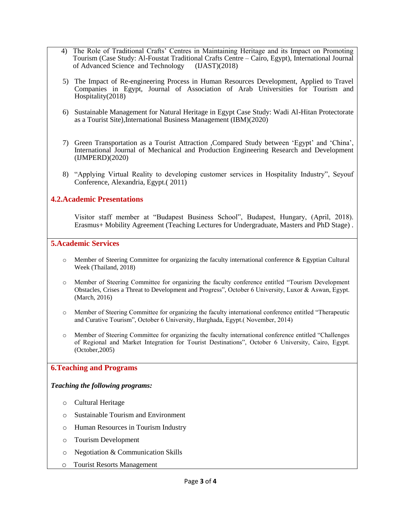- 4) The Role of Traditional Crafts" Centres in Maintaining Heritage and its Impact on Promoting Tourism (Case Study: Al-Foustat Traditional Crafts Centre – Cairo, Egypt), International Journal of Advanced Science and Technology (IJAST)(2018)
- 5) The Impact of Re-engineering Process in Human Resources Development, Applied to Travel Companies in Egypt, Journal of Association of Arab Universities for Tourism and Hospitality(2018)
- 6) Sustainable Management for Natural Heritage in Egypt Case Study: Wadi Al-Hitan Protectorate as a Tourist Site), International Business Management (IBM)(2020)
- 7) Green Transportation as a Tourist Attraction ,Compared Study between "Egypt" and "China", International Journal of Mechanical and Production Engineering Research and Development (IJMPERD)(2020)
- 8) "Applying Virtual Reality to developing customer services in Hospitality Industry", Seyouf Conference, Alexandria, Egypt.( 2011)

## **4.2.Academic Presentations**

Visitor staff member at "Budapest Business School", Budapest, Hungary, (April, 2018). Erasmus+ Mobility Agreement (Teaching Lectures for Undergraduate, Masters and PhD Stage) .

### **5.Academic Services**

- $\circ$  Member of Steering Committee for organizing the faculty international conference & Egyptian Cultural Week (Thailand, 2018)
- o Member of Steering Committee for organizing the faculty conference entitled "Tourism Development Obstacles, Crises a Threat to Development and Progress", October 6 University, Luxor & Aswan, Egypt. (March, 2016)
- Member of Steering Committee for organizing the faculty international conference entitled "Therapeutic" and Curative Tourism", October 6 University, Hurghada, Egypt.( November, 2014)
- Member of Steering Committee for organizing the faculty international conference entitled "Challenges" of Regional and Market Integration for Tourist Destinations", October 6 University, Cairo, Egypt. (October,2005)

#### **6.Teaching and Programs**

#### *Teaching the following programs:*

- o Cultural Heritage
- o Sustainable Tourism and Environment
- o Human Resources in Tourism Industry
- o Tourism Development
- o Negotiation & Communication Skills
- o Tourist Resorts Management